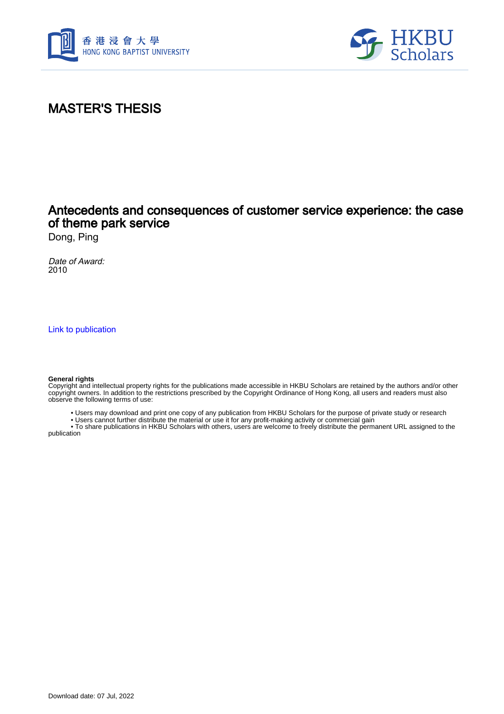



# MASTER'S THESIS

## Antecedents and consequences of customer service experience: the case of theme park service

Dong, Ping

Date of Award: 2010

[Link to publication](https://scholars.hkbu.edu.hk/en/studentTheses/c5bf4323-669f-4714-bc99-b87f192cdc40)

#### **General rights**

Copyright and intellectual property rights for the publications made accessible in HKBU Scholars are retained by the authors and/or other copyright owners. In addition to the restrictions prescribed by the Copyright Ordinance of Hong Kong, all users and readers must also observe the following terms of use:

• Users may download and print one copy of any publication from HKBU Scholars for the purpose of private study or research

• Users cannot further distribute the material or use it for any profit-making activity or commercial gain

 • To share publications in HKBU Scholars with others, users are welcome to freely distribute the permanent URL assigned to the publication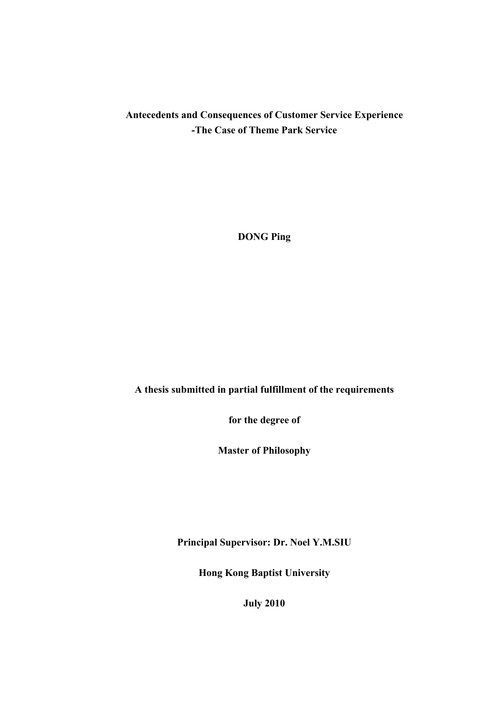## **Antecedents and Consequences of Customer Service Experience -The Case of Theme Park Service**

**DONG Ping** 

#### **A thesis submitted in partial fulfillment of the requirements**

**for the degree of** 

**Master of Philosophy** 

**Principal Supervisor: Dr. Noel Y.M.SIU** 

**Hong Kong Baptist University** 

**July 2010**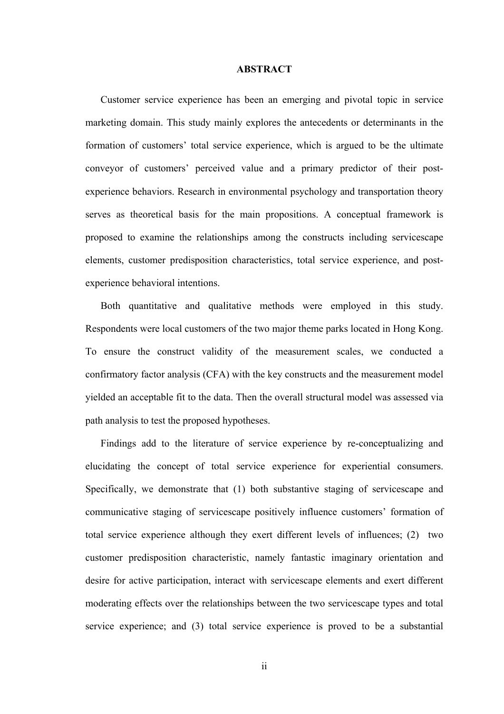#### **ABSTRACT**

Customer service experience has been an emerging and pivotal topic in service marketing domain. This study mainly explores the antecedents or determinants in the formation of customers' total service experience, which is argued to be the ultimate conveyor of customers' perceived value and a primary predictor of their postexperience behaviors. Research in environmental psychology and transportation theory serves as theoretical basis for the main propositions. A conceptual framework is proposed to examine the relationships among the constructs including servicescape elements, customer predisposition characteristics, total service experience, and postexperience behavioral intentions.

Both quantitative and qualitative methods were employed in this study. Respondents were local customers of the two major theme parks located in Hong Kong. To ensure the construct validity of the measurement scales, we conducted a confirmatory factor analysis (CFA) with the key constructs and the measurement model yielded an acceptable fit to the data. Then the overall structural model was assessed via path analysis to test the proposed hypotheses.

Findings add to the literature of service experience by re-conceptualizing and elucidating the concept of total service experience for experiential consumers. Specifically, we demonstrate that (1) both substantive staging of servicescape and communicative staging of servicescape positively influence customers' formation of total service experience although they exert different levels of influences; (2) two customer predisposition characteristic, namely fantastic imaginary orientation and desire for active participation, interact with servicescape elements and exert different moderating effects over the relationships between the two servicescape types and total service experience; and (3) total service experience is proved to be a substantial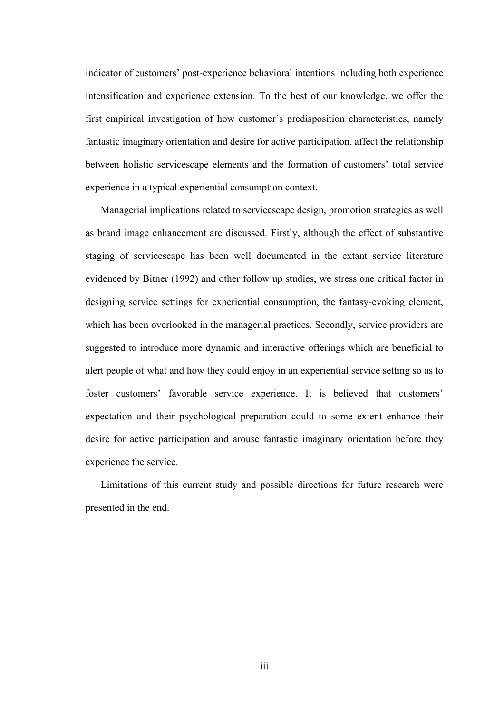indicator of customers' post-experience behavioral intentions including both experience intensification and experience extension. To the best of our knowledge, we offer the first empirical investigation of how customer's predisposition characteristics, namely fantastic imaginary orientation and desire for active participation, affect the relationship between holistic servicescape elements and the formation of customers' total service experience in a typical experiential consumption context.

Managerial implications related to servicescape design, promotion strategies as well as brand image enhancement are discussed. Firstly, although the effect of substantive staging of servicescape has been well documented in the extant service literature evidenced by Bitner (1992) and other follow up studies, we stress one critical factor in designing service settings for experiential consumption, the fantasy-evoking element, which has been overlooked in the managerial practices. Secondly, service providers are suggested to introduce more dynamic and interactive offerings which are beneficial to alert people of what and how they could enjoy in an experiential service setting so as to foster customers' favorable service experience. It is believed that customers' expectation and their psychological preparation could to some extent enhance their desire for active participation and arouse fantastic imaginary orientation before they experience the service.

Limitations of this current study and possible directions for future research were presented in the end.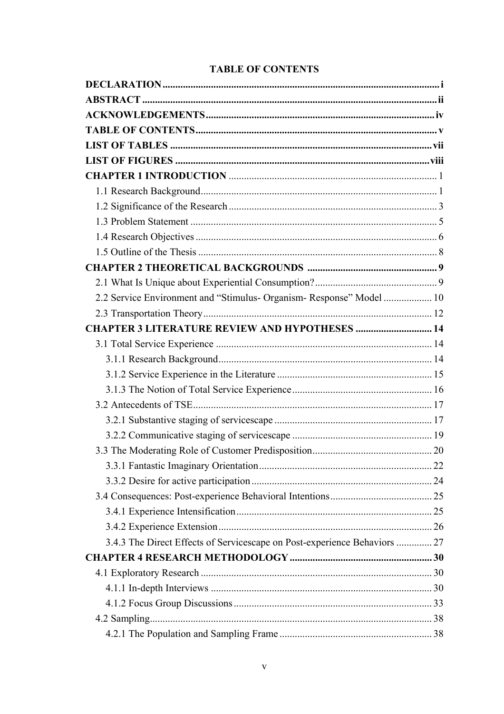|  | <b>TABLE OF CONTENTS</b> |
|--|--------------------------|
|  |                          |

| 2.2 Service Environment and "Stimulus- Organism- Response" Model  10      |  |
|---------------------------------------------------------------------------|--|
|                                                                           |  |
| <b>CHAPTER 3 LITERATURE REVIEW AND HYPOTHESES  14</b>                     |  |
|                                                                           |  |
|                                                                           |  |
|                                                                           |  |
|                                                                           |  |
|                                                                           |  |
|                                                                           |  |
|                                                                           |  |
|                                                                           |  |
|                                                                           |  |
|                                                                           |  |
|                                                                           |  |
|                                                                           |  |
|                                                                           |  |
| 3.4.3 The Direct Effects of Servicescape on Post-experience Behaviors  27 |  |
|                                                                           |  |
|                                                                           |  |
|                                                                           |  |
|                                                                           |  |
|                                                                           |  |
|                                                                           |  |